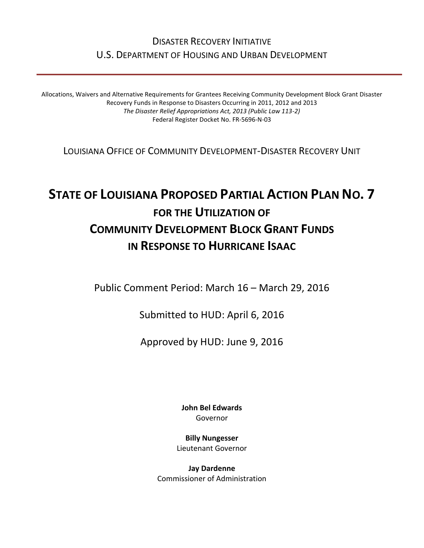# DISASTER RECOVERY INITIATIVE U.S. DEPARTMENT OF HOUSING AND URBAN DEVELOPMENT

Allocations, Waivers and Alternative Requirements for Grantees Receiving Community Development Block Grant Disaster Recovery Funds in Response to Disasters Occurring in 2011, 2012 and 2013 *The Disaster Relief Appropriations Act, 2013 (Public Law 113-2)* Federal Register Docket No. FR-5696-N-03

LOUISIANA OFFICE OF COMMUNITY DEVELOPMENT-DISASTER RECOVERY UNIT

# **STATE OF LOUISIANA PROPOSED PARTIAL ACTION PLAN NO. 7 FOR THE UTILIZATION OF COMMUNITY DEVELOPMENT BLOCK GRANT FUNDS IN RESPONSE TO HURRICANE ISAAC**

Public Comment Period: March 16 – March 29, 2016

Submitted to HUD: April 6, 2016

Approved by HUD: June 9, 2016

**[John Bel Edwards](https://www.facebook.com/LouisianaGov/)** Governor

**Billy Nungesser** Lieutenant Governor

**Jay Dardenne** Commissioner of Administration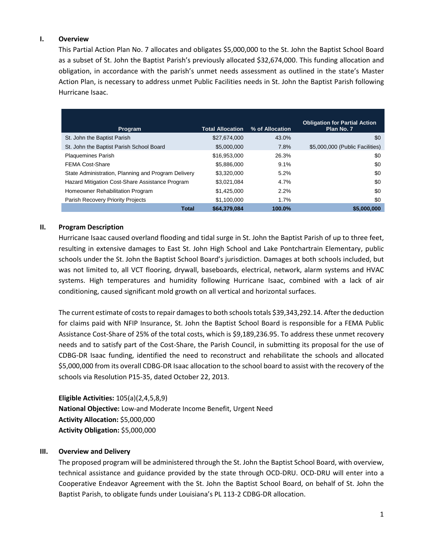## **I. Overview**

This Partial Action Plan No. 7 allocates and obligates \$5,000,000 to the St. John the Baptist School Board as a subset of St. John the Baptist Parish's previously allocated \$32,674,000. This funding allocation and obligation, in accordance with the parish's unmet needs assessment as outlined in the state's Master Action Plan, is necessary to address unmet Public Facilities needs in St. John the Baptist Parish following Hurricane Isaac.

| Program                                             | <b>Total Allocation</b> | % of Allocation | <b>Obligation for Partial Action</b><br>Plan No. 7 |
|-----------------------------------------------------|-------------------------|-----------------|----------------------------------------------------|
| St. John the Baptist Parish                         | \$27,674,000            | 43.0%           | \$0                                                |
| St. John the Baptist Parish School Board            | \$5,000,000             | 7.8%            | \$5,000,000 (Public Facilities)                    |
| <b>Plaquemines Parish</b>                           | \$16,953,000            | 26.3%           | \$0                                                |
| <b>FEMA Cost-Share</b>                              | \$5,886,000             | 9.1%            | \$0                                                |
| State Administration, Planning and Program Delivery | \$3,320,000             | 5.2%            | \$0                                                |
| Hazard Mitigation Cost-Share Assistance Program     | \$3,021,084             | 4.7%            | \$0                                                |
| Homeowner Rehabilitation Program                    | \$1,425,000             | 2.2%            | \$0                                                |
| Parish Recovery Priority Projects                   | \$1,100,000             | 1.7%            | \$0                                                |
| <b>Total</b>                                        | \$64,379,084            | 100.0%          | \$5,000,000                                        |

# **II. Program Description**

Hurricane Isaac caused overland flooding and tidal surge in St. John the Baptist Parish of up to three feet, resulting in extensive damages to East St. John High School and Lake Pontchartrain Elementary, public schools under the St. John the Baptist School Board's jurisdiction. Damages at both schools included, but was not limited to, all VCT flooring, drywall, baseboards, electrical, network, alarm systems and HVAC systems. High temperatures and humidity following Hurricane Isaac, combined with a lack of air conditioning, caused significant mold growth on all vertical and horizontal surfaces.

The current estimate of costs to repair damages to both schools totals \$39,343,292.14. After the deduction for claims paid with NFIP Insurance, St. John the Baptist School Board is responsible for a FEMA Public Assistance Cost-Share of 25% of the total costs, which is \$9,189,236.95. To address these unmet recovery needs and to satisfy part of the Cost-Share, the Parish Council, in submitting its proposal for the use of CDBG-DR Isaac funding, identified the need to reconstruct and rehabilitate the schools and allocated \$5,000,000 from its overall CDBG-DR Isaac allocation to the school board to assist with the recovery of the schools via Resolution P15-35, dated October 22, 2013.

**Eligible Activities:** 105(a)(2,4,5,8,9) **National Objective:** Low-and Moderate Income Benefit, Urgent Need **Activity Allocation:** \$5,000,000 **Activity Obligation:** \$5,000,000

### **III. Overview and Delivery**

The proposed program will be administered through the St. John the Baptist School Board, with overview, technical assistance and guidance provided by the state through OCD-DRU. OCD-DRU will enter into a Cooperative Endeavor Agreement with the St. John the Baptist School Board, on behalf of St. John the Baptist Parish, to obligate funds under Louisiana's PL 113-2 CDBG-DR allocation.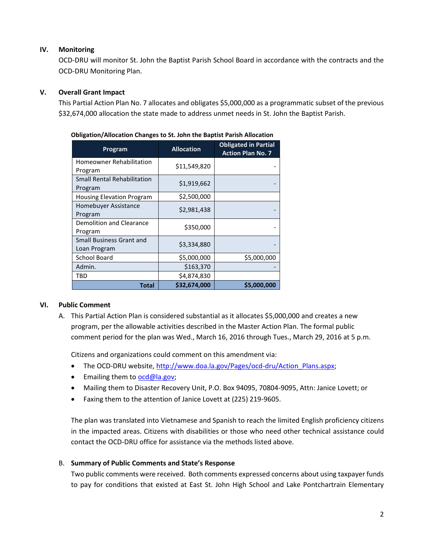# **IV. Monitoring**

OCD-DRU will monitor St. John the Baptist Parish School Board in accordance with the contracts and the OCD-DRU Monitoring Plan.

# **V. Overall Grant Impact**

This Partial Action Plan No. 7 allocates and obligates \$5,000,000 as a programmatic subset of the previous \$32,674,000 allocation the state made to address unmet needs in St. John the Baptist Parish.

| Program                                         | <b>Allocation</b> | <b>Obligated in Partial</b><br><b>Action Plan No. 7</b> |
|-------------------------------------------------|-------------------|---------------------------------------------------------|
| Homeowner Rehabilitation<br>Program             | \$11,549,820      |                                                         |
| <b>Small Rental Rehabilitation</b><br>Program   | \$1,919,662       |                                                         |
| <b>Housing Elevation Program</b>                | \$2,500,000       |                                                         |
| Homebuyer Assistance<br>Program                 | \$2,981,438       |                                                         |
| Demolition and Clearance<br>Program             | \$350,000         |                                                         |
| <b>Small Business Grant and</b><br>Loan Program | \$3,334,880       |                                                         |
| <b>School Board</b>                             | \$5,000,000       | \$5,000,000                                             |
| Admin.                                          | \$163,370         |                                                         |
| TBD                                             | \$4,874,830       |                                                         |
| Total                                           | \$32,674,000      | \$5,000,000                                             |

#### **Obligation/Allocation Changes to St. John the Baptist Parish Allocation**

### **VI. Public Comment**

A. This Partial Action Plan is considered substantial as it allocates \$5,000,000 and creates a new program, per the allowable activities described in the Master Action Plan. The formal public comment period for the plan was Wed., March 16, 2016 through Tues., March 29, 2016 at 5 p.m.

Citizens and organizations could comment on this amendment via:

- The OCD-DRU website[, http://www.doa.la.gov/Pages/ocd-dru/Action\\_Plans.aspx;](http://www.doa.la.gov/Pages/ocd-dru/Action_Plans.aspx)
- **•** Emailing them to [ocd@la.gov;](mailto:ocd@la.gov)
- Mailing them to Disaster Recovery Unit, P.O. Box 94095, 70804-9095, Attn: Janice Lovett; or
- Faxing them to the attention of Janice Lovett at (225) 219-9605.

The plan was translated into Vietnamese and Spanish to reach the limited English proficiency citizens in the impacted areas. Citizens with disabilities or those who need other technical assistance could contact the OCD-DRU office for assistance via the methods listed above.

### B. **Summary of Public Comments and State's Response**

Two public comments were received. Both comments expressed concerns about using taxpayer funds to pay for conditions that existed at East St. John High School and Lake Pontchartrain Elementary